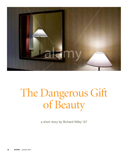

## The Dangerous Gift of Beauty

a short story by Richard Wiley '67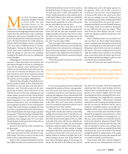ary from the Jaguar agency<br>
sometimes thought of herself<br>
as Gloria Trillo, who sold<br>
Mercedes Benzes on The<br>
Sopranos and became Tony's<br>
mistress for a while. She thought of herself that sometimes thought of herself as Gloria Trillo, who sold Mercedes Benzes on *The Sopranos* and became Tony's way because men bought Jags from her much more readily than they did from her male-counterpart salespeople, and because Annabella Sciorra, the actress who played Gloria Trillo, also starred in the movie *The Hand That Rocks The Cradle*, which was filmed at 808 North Yakima Avenue, a few blocks away from Mary's childhood home in Tacoma, Washington. During the filming of the movie, in fact, Mary used to walk down occasionally to watch the goings-on, and twice saw Annabella standing in the shade of an oak tree, thinking her actress thoughts.

Selling Jaguars in Tacoma at first seemed oxymoronic to Mary, since Jags were expensive and she'd always thought of Tacoma as a working class town, but the agency's owner said he knew what sold luxury cars, and that her look, which was sexy in the way of a trimmed-out librarian, was it. He said, "You let me worry about oxymorons, and all the other kinds of morons, too." He gave her the job, and the rest is local Jaguar-selling history.

Whenever Mary thought of Annabella Sciorra she also tended to think of Sister Wendy Beckett, the British art-critic nun who, in an interview on television, said, "God did not give me the dangerous gift of beauty." Mary, who'd been in bed with Jim, her lover at the time, drinking wine and eating crackers, reacted as if Sister Wendy Beckett were speaking directly to her. *She* had the gift of beauty, dangerous or not, and this plain woman, this semi-cloistered art-critic, was asking her what she was going to do about it. It was a turning point in Mary's life, and her breasts, as magnificent as the rest of her, swung toward Jim when she pointed at Sister Wendy Beckett's television image and asked the question, "What if she *had* been beautiful? How would it have changed her life, and how would homeliness have changed mine? If I were Sister Wendy Beckett would you be here in bed with me now, drinking this wine?"

She knew she'd said the words wrong but she let them stand.

"What?" asked Jim, sopping up the wine she spilt when she turned on him. And then he said, quite fatally, "You know as well as I do that in the world we live in physical beauty dictates."

Earlier in the evening he had said he loved her like Galileo loved the moon and the stars, but this

told her that he did not, in fact, love *her* so much as the shell she lived in. So she got out of bed, pulled on some jeans and a T-shirt, went outside to the "loaner" Jag she always drove, and cruised on down to 808 North Yakima, where she'd seen Annabella Sciorra those times. There were lights on in the house, but she parked the car at the curb anyway, got out, and walked up onto the lawn.

"Who is the me that I want Jim to see if the me he sees isn't me?" she asked the wrap-around porch. She had the idea that Annabella Sciorra might materialize and answer her, but even when she didn't Mary knew that including Jim in her question was inessential to the power it had for her. "Jim" was just a place holder.

There was a gap in the curtains covering a window on the left side of the house, just beyond what looked to Mary to be a chestnut tree, so she glanced down at the loaner Jag again, tried to remember if she'd locked it, then stepped into the shadows by that window to think about her question and peek through the gap.

"Who is the me that I want Jim to see if the me he sees isn't me?"

this reading man, and at the Jaguar agency, too, her question—*Who is the me that I want Jim to see if the me he sees isn't me?*—was an integral part of American life, while in the actual room where this man sat reading it was not. Perhaps she got that feeling because he had a reading lamp behind him—its cord led all the way across the room making it look like he was out of himself, interested in the living world, never mind how handsome he was. Otherwise the room was empty. "That's what I'll do, too, Sister Wendy!" she said. "I won't eschew the dangerous gift but will get busy with other things."

Mary's childhood home was two blocks over and one block up. She'd walked along Yakima Avenue countless times during the years she lived there, stretching back to when she went to Lowell Elementary school. She'd even trick-or-treated at this house a few times, climbing onto its porch while her mother stood waiting on the parking strip, at just about where the loaner Jag was now. Her mother had had the dangerous gift, too, had been bereft when it suddenly left her.

Inside the house the man leaned forward to

Mary froze. How humiliating to be caught like this, a peeping Tom—a peeping Mary—whose beauty screamed loudly that it wasn't peeping, but being peeped at, that she was born for.

It was a serious question, but she couldn't help noting that the cadence of it bore a strong similarity to *How much wood could a woodchuck chuck if a woodchuck could chuck wood?* And that, in turn, made her feel a lightness of heart that she hadn't felt since pre-puberty, before the dangerous gift made her a target for boys and men from one side of town to the other. *How much wood could a woodchuck chuck if a woodchuck could chuck wood?* In a way it was identical to her "Jim" question.

Inside the part of the house visible through the gap in the curtains, she could see a man sitting reading. He was in jeans and a T-shirt like she was, with his feet crossed on a stool, and, like her and Jim at Jim's house, he had a glass of wine on a table at the side of his chair, with the nice addition of a few slices of cheese on a plate. He was extremely handsome, easily her equal on the beauty scale.

Mary could hear the faint sounds of singing coming from his stereo, and beyond him, through an archway at the far side of the room, she saw a hallway bathed in shadows and light, like in the Edward Hopper picture that hung behind her boss's desk at the Jaguar agency. It was strange, but she got the idea that in the hallway here, beyond

put down his wine glass, which he'd apparently picked up when Mary wasn't looking. And now, with his book covering his groin, he was staring directly at the window slightly above her head. Even though she'd been standing still, Mary froze. How humiliating to be caught like this, a peeping Tom—a peeping Mary—whose beauty screamed loudly that it wasn't peeping, but being peeped at, that she was born for. Would he call the cops as readily on a beautiful woman as on an ugly one? Would he call the cops on Sister Wendy Beckett?

When he stood and came toward the window she had the thought that sexual intrusion—which was, after all, the bludgeon of a peeping Tom—really was a crime and that, never mind the shell she lived in, she should be ashamed of herself. What right did she have to intrude upon this man, who had not intruded on anyone, save, perhaps, those who peopled the book he was reading? But she held her ground, her eyes at the bottom of the obtuse triangle formed by the aging curtains. If he caught her she would make no excuses, like saying she had car trouble or needed to ask directions.

Time passed, with Mary outside looking in, and the man, in turn, looking directly at his own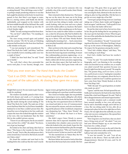reflection, maybe seeing new wrinkles in his face or asking himself, "How did things come to this?" or perhaps simply pondering whatever it was that had caught his attention in his book. So much time passed, in fact, that Mary's eyes began to water, like in a staring contest, until finally she did the unthinkable, and wrapped on the window with the bent middle knuckle of her left hand. She could see the man's thoughts ride back up into this 10 o'clock Sunday night.

"Hello?" he said, turning toward his front door.

"No, out here!" called Mary. "I'm standing in your side yard."

The man swung around again and pushed back the curtains. "Oh. Hi," he said, as if thinking someone had knocked on the front door had been a silly mistake on his part.

"I was just passing by and remembered *The Hand That Rocks the Cradle,"* said Mary, "and how I saw Annabella Sciorra standing under your tree a couple of times."

"I didn't live here back then," he said. "Lived up in Seattle."

"Yes, well, that's where they pretended the movie took place. It was Tacoma, though, even

a fan, but had been sent by someone who was probably a fan of the actual Lourdes, Sister Wendy Beckett from TV.

Mary returned to that chestnut tree. The loaner Jag was on the street, the man was in his living room, and under the tree was a chair quite like the one she'd seen him sitting in inside, wicker and comfy-looking, with arm rests and even a plastic sort of all-weather pillow as a backrest. She hadn't noticed the chair when sneaking up on the house, but here it was, ready for either indoor or outdoor use, a chair for all seasons, like Paul Scofield in the movie *he* made that time. Sir Thomas More standing up to Henry VIII and Sister Wendy Beckett explaining the meaning of art … Such connections were just plain beautiful, with no element of danger in them at all.

Mary sat down in the chair and crossed her legs and asked herself what her life meant. Down on the street the loaner Jag meant something. It meant fine craftsmanship, precision engineering—or so she'd believed until Ford took over—but was *she* finely crafted, did *she* have precision engineering, past the skin-deep aspect that had made her so much money? Twice she'd gone home with new

## "Did you ever even see *The Hand that Rocks the Cradle?*"

"Got it on DVD. When I was buying this place that movie was part of the sales pitch. At closing they gave me a copy of it."

Wright Park was in it. No one wants to give Tacoma credit for anything."

The window was double-paned so their voices felt both distant and small, as if coming from people who had said those exact words a long time ago, like maybe during the actual making of *The Hand That Rocks the Cradle*. The male star of that movie had been Matt McCoy, he'd been Annabella's husband in it, but Mary couldn't picture him. She closed her eyes to bring him to her but could only conjure the man who looked through the window at her now, who was handsomer than the Matt McCoy she couldn't picture, anyway.

"I know it's an odd request, but do you mind if I stay out here for a while?" she asked. "You know, sort of get my bearings?"

He looked at his chair and lamp, then back at Mary. "This house is the Lourdes for fans of that movie," he said. "You're, like, the sixth person who's come around since I moved in. But knock yourself out. Enjoy, enjoy."

He closed the curtains and went back to his reading before she could say that she wasn't exactly Jaguar owners, giving them the prize they had hinted that making such a purchase would necessitate.

Ten o'clock on Sunday night. Jim was probably beginning to worry, maybe calling her cell, which, she understood when she felt her jeans, she had left in the Jag. Her own apartment down in Old Town was closed and dark, its view of Commencement Bay not enjoyed by anyone, and rain was threatening and the pleasure of the woodchuck comparison was dissipating fast. "Okay, Sister Wendy," she said, "What's it all about? My heart is so heavy sometimes."

She didn't expect Sister Wendy to answer anymore than she'd expected Annabella Sciorra to materialize, but a shadow came across her eyes when she looked at the rain clouds. It gave her the sense that someone had heard her, plus the strength to ask a second question. "Why can't I just love and be loved in return? Is that too much to ask of life?"

"It's the essential lyric in 'Nature Boy,' the Nat Cole hit from 1948," said a voice.

She knew before she turned to look at him that the man from the house had come outside. Her first thought was, "Oh, great. Here we go again," and sure enough, when she did turn to look at him he was carrying his chair, identical to the one she was sitting in, plus two big umbrellas. Did she have to get hit-on every single day of her life?

"I never got a proper living room set. I just keep taking one of these chairs inside and bringing it back out again," said the man. "I tell myself if I ever leave it in there the battle will be lost."

He put his chair next to hers, but not too close. In fact she got the feeling that he was putting it in the exact spot he had taken it from. When he gave her one of the umbrellas she thanked him, but used her most guarded voice.

"Here's a coincidence,'" he said. "I was just reading about this time in 1956 when Nat King Cole got beat up on the streets of Birmingham, Alabama. No respect for his greatness among the racists."

"Don't kid a kidder, Mister," said Mary. "You were reading no such thing."

Don't kid a kidder had been her mother's expression.

"I was," he said. "I'm nearly finished with his biography, and I was listening to his recordings when you knocked on my window, too, so maybe you asked yourself that question because you heard it right from the horse's mouth." He sang the line,*"The greatest thing, you'll ever learn, is just to love, and be loved, in return,"* making her remember the ethereal tune, very enigmatic about the boy in question. Could it be true? Could her question not have come from Sister Wendy Beckett at all, but from Nat King Cole?

"Well," she said. "It's a good question, no matter who made me ask it."

"I guess," said the man. He had opened his umbrella and was leaned so far back in his chair that he looked like a laid-back lifeguard. He said, "Half of life is disappointments and missed opportunities."

In another situation such a comment would have seemed maudlin to her, even self-serving, but he said it cheerfully enough, and it left her at a loss. She was sitting under *his* tree, after all, as unexpected a place for her to be right then as Paris, France. He was right about the umbrella, too, since a fine rain was now coming down. She opened hers and sat back like he was.

"How long have you lived here, that you don't have a living room set yet?" she asked. "I saw you had your Edward Hopper up, so you must have been here for a while, at least."

She remembered as soon as she said it that the Hopper was in her boss's office and that this man's hallway had only reminded her of it.

"A year last month," he said. "Lost all my furniture in the divorce. That's my half-a-life of disappointment. Married 20 years, and I'm 40 years old now."